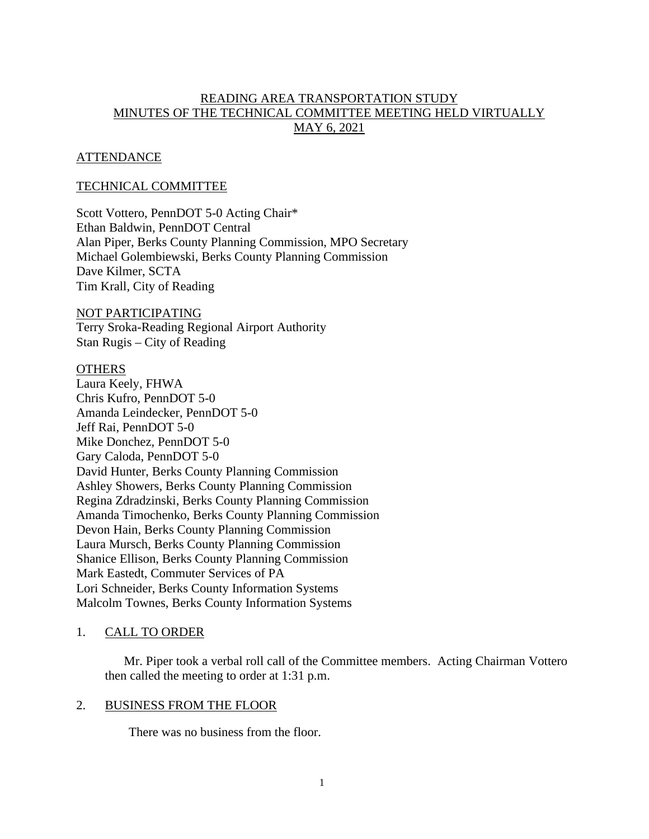# READING AREA TRANSPORTATION STUDY MINUTES OF THE TECHNICAL COMMITTEE MEETING HELD VIRTUALLY MAY 6, 2021

# **ATTENDANCE**

# TECHNICAL COMMITTEE

Scott Vottero, PennDOT 5-0 Acting Chair\* Ethan Baldwin, PennDOT Central Alan Piper, Berks County Planning Commission, MPO Secretary Michael Golembiewski, Berks County Planning Commission Dave Kilmer, SCTA Tim Krall, City of Reading

#### NOT PARTICIPATING

Terry Sroka-Reading Regional Airport Authority Stan Rugis – City of Reading

#### **OTHERS**

Laura Keely, FHWA Chris Kufro, PennDOT 5-0 Amanda Leindecker, PennDOT 5-0 Jeff Rai, PennDOT 5-0 Mike Donchez, PennDOT 5-0 Gary Caloda, PennDOT 5-0 David Hunter, Berks County Planning Commission Ashley Showers, Berks County Planning Commission Regina Zdradzinski, Berks County Planning Commission Amanda Timochenko, Berks County Planning Commission Devon Hain, Berks County Planning Commission Laura Mursch, Berks County Planning Commission Shanice Ellison, Berks County Planning Commission Mark Eastedt, Commuter Services of PA Lori Schneider, Berks County Information Systems Malcolm Townes, Berks County Information Systems

# 1. CALL TO ORDER

Mr. Piper took a verbal roll call of the Committee members. Acting Chairman Vottero then called the meeting to order at 1:31 p.m.

## 2. BUSINESS FROM THE FLOOR

There was no business from the floor.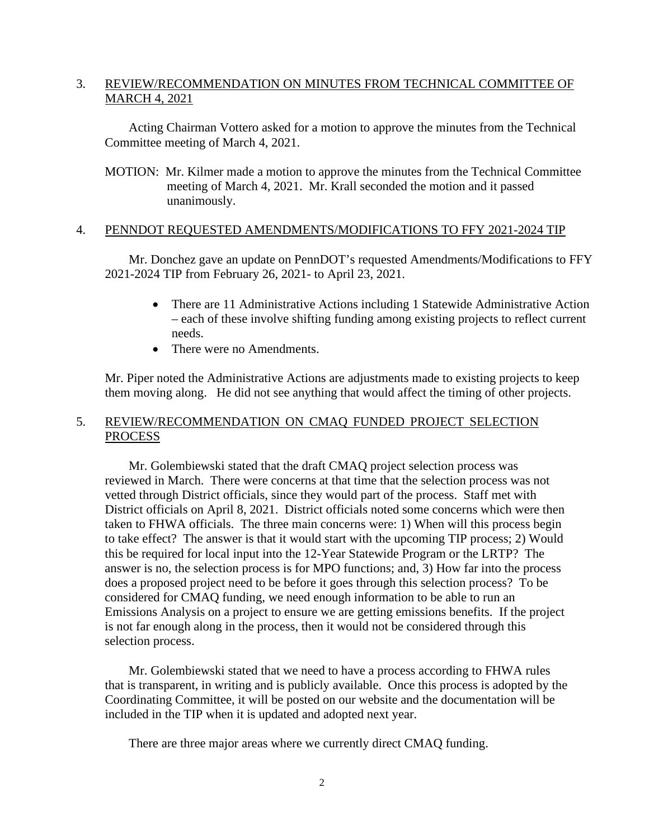# 3. REVIEW/RECOMMENDATION ON MINUTES FROM TECHNICAL COMMITTEE OF MARCH 4, 2021

Acting Chairman Vottero asked for a motion to approve the minutes from the Technical Committee meeting of March 4, 2021.

MOTION: Mr. Kilmer made a motion to approve the minutes from the Technical Committee meeting of March 4, 2021. Mr. Krall seconded the motion and it passed unanimously.

## 4. PENNDOT REQUESTED AMENDMENTS/MODIFICATIONS TO FFY 2021-2024 TIP

Mr. Donchez gave an update on PennDOT's requested Amendments/Modifications to FFY 2021-2024 TIP from February 26, 2021- to April 23, 2021.

- There are 11 Administrative Actions including 1 Statewide Administrative Action – each of these involve shifting funding among existing projects to reflect current needs.
- There were no Amendments.

Mr. Piper noted the Administrative Actions are adjustments made to existing projects to keep them moving along. He did not see anything that would affect the timing of other projects.

# 5. REVIEW/RECOMMENDATION ON CMAQ FUNDED PROJECT SELECTION PROCESS

Mr. Golembiewski stated that the draft CMAQ project selection process was reviewed in March. There were concerns at that time that the selection process was not vetted through District officials, since they would part of the process. Staff met with District officials on April 8, 2021. District officials noted some concerns which were then taken to FHWA officials. The three main concerns were: 1) When will this process begin to take effect? The answer is that it would start with the upcoming TIP process; 2) Would this be required for local input into the 12-Year Statewide Program or the LRTP? The answer is no, the selection process is for MPO functions; and, 3) How far into the process does a proposed project need to be before it goes through this selection process? To be considered for CMAQ funding, we need enough information to be able to run an Emissions Analysis on a project to ensure we are getting emissions benefits. If the project is not far enough along in the process, then it would not be considered through this selection process.

Mr. Golembiewski stated that we need to have a process according to FHWA rules that is transparent, in writing and is publicly available. Once this process is adopted by the Coordinating Committee, it will be posted on our website and the documentation will be included in the TIP when it is updated and adopted next year.

There are three major areas where we currently direct CMAQ funding.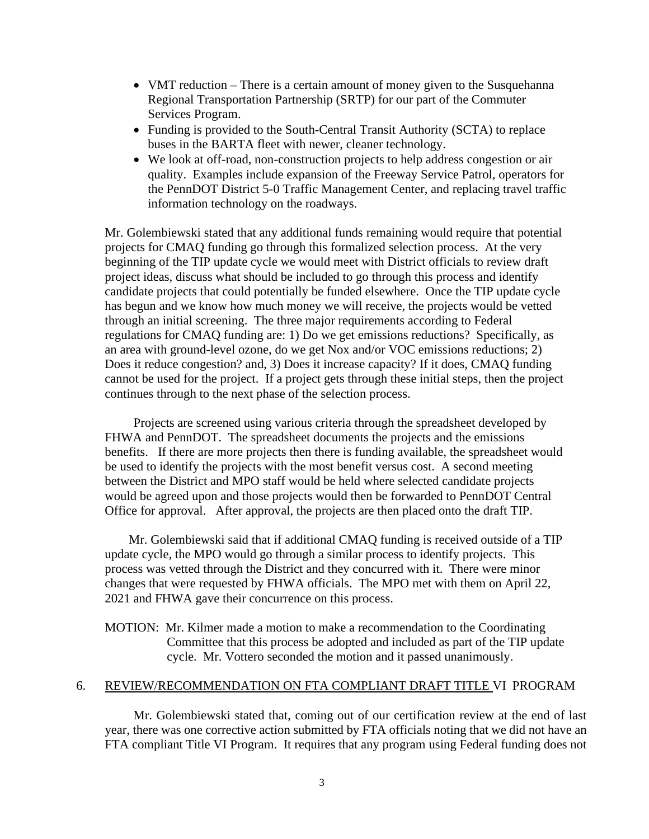- VMT reduction There is a certain amount of money given to the Susquehanna Regional Transportation Partnership (SRTP) for our part of the Commuter Services Program.
- Funding is provided to the South-Central Transit Authority (SCTA) to replace buses in the BARTA fleet with newer, cleaner technology.
- We look at off-road, non-construction projects to help address congestion or air quality. Examples include expansion of the Freeway Service Patrol, operators for the PennDOT District 5-0 Traffic Management Center, and replacing travel traffic information technology on the roadways.

Mr. Golembiewski stated that any additional funds remaining would require that potential projects for CMAQ funding go through this formalized selection process. At the very beginning of the TIP update cycle we would meet with District officials to review draft project ideas, discuss what should be included to go through this process and identify candidate projects that could potentially be funded elsewhere. Once the TIP update cycle has begun and we know how much money we will receive, the projects would be vetted through an initial screening. The three major requirements according to Federal regulations for CMAQ funding are: 1) Do we get emissions reductions? Specifically, as an area with ground-level ozone, do we get Nox and/or VOC emissions reductions; 2) Does it reduce congestion? and, 3) Does it increase capacity? If it does, CMAQ funding cannot be used for the project. If a project gets through these initial steps, then the project continues through to the next phase of the selection process.

Projects are screened using various criteria through the spreadsheet developed by FHWA and PennDOT. The spreadsheet documents the projects and the emissions benefits. If there are more projects then there is funding available, the spreadsheet would be used to identify the projects with the most benefit versus cost. A second meeting between the District and MPO staff would be held where selected candidate projects would be agreed upon and those projects would then be forwarded to PennDOT Central Office for approval. After approval, the projects are then placed onto the draft TIP.

Mr. Golembiewski said that if additional CMAQ funding is received outside of a TIP update cycle, the MPO would go through a similar process to identify projects. This process was vetted through the District and they concurred with it. There were minor changes that were requested by FHWA officials. The MPO met with them on April 22, 2021 and FHWA gave their concurrence on this process.

MOTION: Mr. Kilmer made a motion to make a recommendation to the Coordinating Committee that this process be adopted and included as part of the TIP update cycle. Mr. Vottero seconded the motion and it passed unanimously.

## 6. REVIEW/RECOMMENDATION ON FTA COMPLIANT DRAFT TITLE VI PROGRAM

Mr. Golembiewski stated that, coming out of our certification review at the end of last year, there was one corrective action submitted by FTA officials noting that we did not have an FTA compliant Title VI Program. It requires that any program using Federal funding does not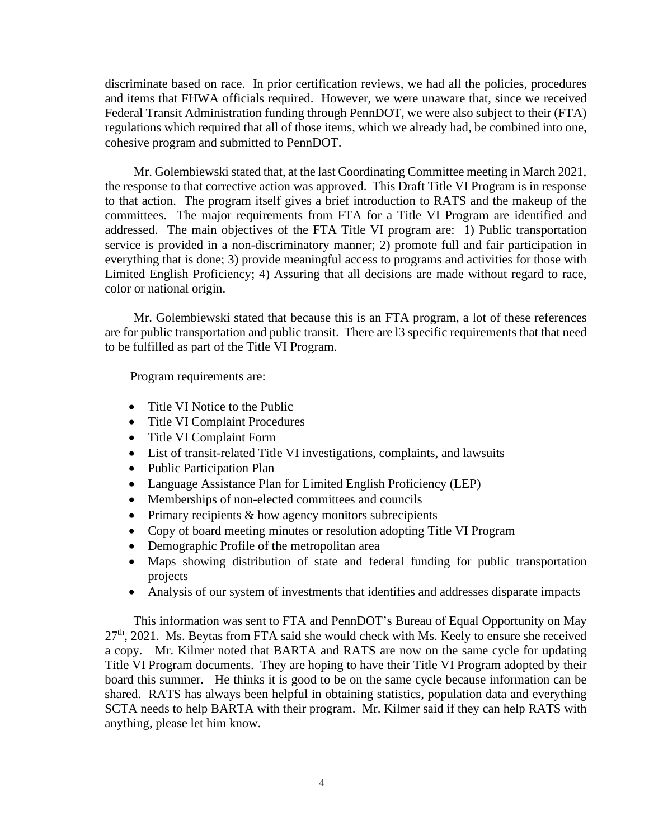discriminate based on race. In prior certification reviews, we had all the policies, procedures and items that FHWA officials required. However, we were unaware that, since we received Federal Transit Administration funding through PennDOT, we were also subject to their (FTA) regulations which required that all of those items, which we already had, be combined into one, cohesive program and submitted to PennDOT.

Mr. Golembiewski stated that, at the last Coordinating Committee meeting in March 2021, the response to that corrective action was approved. This Draft Title VI Program is in response to that action. The program itself gives a brief introduction to RATS and the makeup of the committees. The major requirements from FTA for a Title VI Program are identified and addressed. The main objectives of the FTA Title VI program are: 1) Public transportation service is provided in a non-discriminatory manner; 2) promote full and fair participation in everything that is done; 3) provide meaningful access to programs and activities for those with Limited English Proficiency; 4) Assuring that all decisions are made without regard to race, color or national origin.

Mr. Golembiewski stated that because this is an FTA program, a lot of these references are for public transportation and public transit. There are l3 specific requirements that that need to be fulfilled as part of the Title VI Program.

Program requirements are:

- Title VI Notice to the Public
- Title VI Complaint Procedures
- Title VI Complaint Form
- List of transit-related Title VI investigations, complaints, and lawsuits
- Public Participation Plan
- Language Assistance Plan for Limited English Proficiency (LEP)
- Memberships of non-elected committees and councils
- Primary recipients & how agency monitors subrecipients
- Copy of board meeting minutes or resolution adopting Title VI Program
- Demographic Profile of the metropolitan area
- Maps showing distribution of state and federal funding for public transportation projects
- Analysis of our system of investments that identifies and addresses disparate impacts

This information was sent to FTA and PennDOT's Bureau of Equal Opportunity on May  $27<sup>th</sup>$ , 2021. Ms. Beytas from FTA said she would check with Ms. Keely to ensure she received a copy. Mr. Kilmer noted that BARTA and RATS are now on the same cycle for updating Title VI Program documents. They are hoping to have their Title VI Program adopted by their board this summer. He thinks it is good to be on the same cycle because information can be shared. RATS has always been helpful in obtaining statistics, population data and everything SCTA needs to help BARTA with their program. Mr. Kilmer said if they can help RATS with anything, please let him know.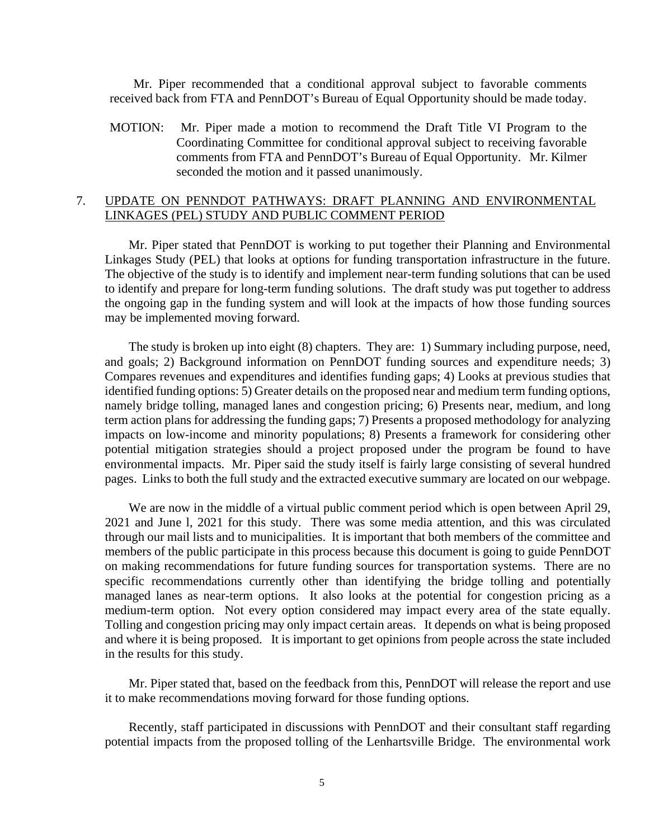Mr. Piper recommended that a conditional approval subject to favorable comments received back from FTA and PennDOT's Bureau of Equal Opportunity should be made today.

MOTION: Mr. Piper made a motion to recommend the Draft Title VI Program to the Coordinating Committee for conditional approval subject to receiving favorable comments from FTA and PennDOT's Bureau of Equal Opportunity. Mr. Kilmer seconded the motion and it passed unanimously.

## 7. UPDATE ON PENNDOT PATHWAYS: DRAFT PLANNING AND ENVIRONMENTAL LINKAGES (PEL) STUDY AND PUBLIC COMMENT PERIOD

Mr. Piper stated that PennDOT is working to put together their Planning and Environmental Linkages Study (PEL) that looks at options for funding transportation infrastructure in the future. The objective of the study is to identify and implement near-term funding solutions that can be used to identify and prepare for long-term funding solutions. The draft study was put together to address the ongoing gap in the funding system and will look at the impacts of how those funding sources may be implemented moving forward.

The study is broken up into eight (8) chapters. They are: 1) Summary including purpose, need, and goals; 2) Background information on PennDOT funding sources and expenditure needs; 3) Compares revenues and expenditures and identifies funding gaps; 4) Looks at previous studies that identified funding options: 5) Greater details on the proposed near and medium term funding options, namely bridge tolling, managed lanes and congestion pricing; 6) Presents near, medium, and long term action plans for addressing the funding gaps; 7) Presents a proposed methodology for analyzing impacts on low-income and minority populations; 8) Presents a framework for considering other potential mitigation strategies should a project proposed under the program be found to have environmental impacts. Mr. Piper said the study itself is fairly large consisting of several hundred pages. Links to both the full study and the extracted executive summary are located on our webpage.

We are now in the middle of a virtual public comment period which is open between April 29, 2021 and June l, 2021 for this study. There was some media attention, and this was circulated through our mail lists and to municipalities. It is important that both members of the committee and members of the public participate in this process because this document is going to guide PennDOT on making recommendations for future funding sources for transportation systems. There are no specific recommendations currently other than identifying the bridge tolling and potentially managed lanes as near-term options. It also looks at the potential for congestion pricing as a medium-term option. Not every option considered may impact every area of the state equally. Tolling and congestion pricing may only impact certain areas. It depends on what is being proposed and where it is being proposed. It is important to get opinions from people across the state included in the results for this study.

Mr. Piper stated that, based on the feedback from this, PennDOT will release the report and use it to make recommendations moving forward for those funding options.

Recently, staff participated in discussions with PennDOT and their consultant staff regarding potential impacts from the proposed tolling of the Lenhartsville Bridge. The environmental work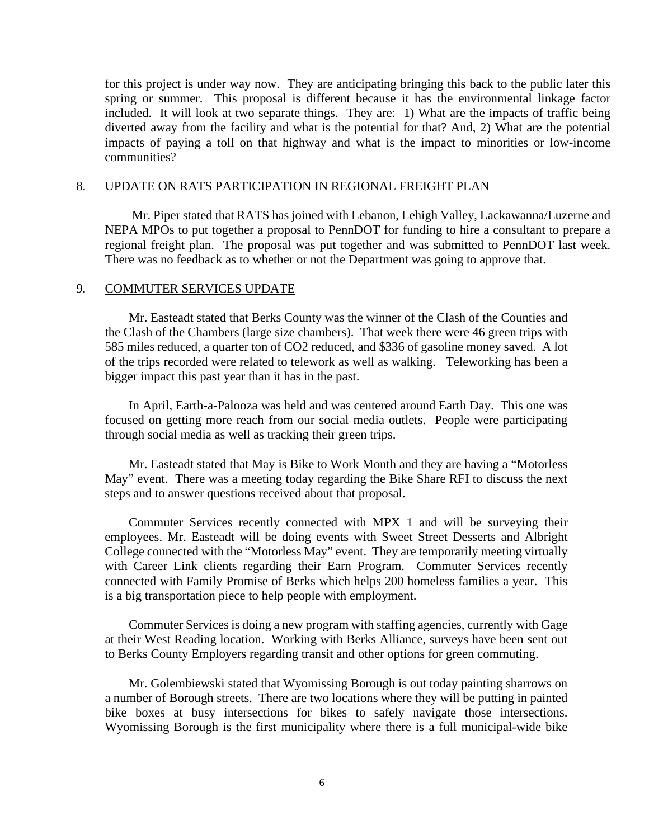for this project is under way now. They are anticipating bringing this back to the public later this spring or summer. This proposal is different because it has the environmental linkage factor included. It will look at two separate things. They are: 1) What are the impacts of traffic being diverted away from the facility and what is the potential for that? And, 2) What are the potential impacts of paying a toll on that highway and what is the impact to minorities or low-income communities?

#### 8. UPDATE ON RATS PARTICIPATION IN REGIONAL FREIGHT PLAN

 Mr. Piper stated that RATS has joined with Lebanon, Lehigh Valley, Lackawanna/Luzerne and NEPA MPOs to put together a proposal to PennDOT for funding to hire a consultant to prepare a regional freight plan. The proposal was put together and was submitted to PennDOT last week. There was no feedback as to whether or not the Department was going to approve that.

## 9. COMMUTER SERVICES UPDATE

Mr. Easteadt stated that Berks County was the winner of the Clash of the Counties and the Clash of the Chambers (large size chambers). That week there were 46 green trips with 585 miles reduced, a quarter ton of CO2 reduced, and \$336 of gasoline money saved. A lot of the trips recorded were related to telework as well as walking. Teleworking has been a bigger impact this past year than it has in the past.

In April, Earth-a-Palooza was held and was centered around Earth Day. This one was focused on getting more reach from our social media outlets. People were participating through social media as well as tracking their green trips.

Mr. Easteadt stated that May is Bike to Work Month and they are having a "Motorless May" event. There was a meeting today regarding the Bike Share RFI to discuss the next steps and to answer questions received about that proposal.

Commuter Services recently connected with MPX 1 and will be surveying their employees. Mr. Easteadt will be doing events with Sweet Street Desserts and Albright College connected with the "Motorless May" event. They are temporarily meeting virtually with Career Link clients regarding their Earn Program. Commuter Services recently connected with Family Promise of Berks which helps 200 homeless families a year. This is a big transportation piece to help people with employment.

Commuter Services is doing a new program with staffing agencies, currently with Gage at their West Reading location. Working with Berks Alliance, surveys have been sent out to Berks County Employers regarding transit and other options for green commuting.

 Mr. Golembiewski stated that Wyomissing Borough is out today painting sharrows on a number of Borough streets. There are two locations where they will be putting in painted bike boxes at busy intersections for bikes to safely navigate those intersections. Wyomissing Borough is the first municipality where there is a full municipal-wide bike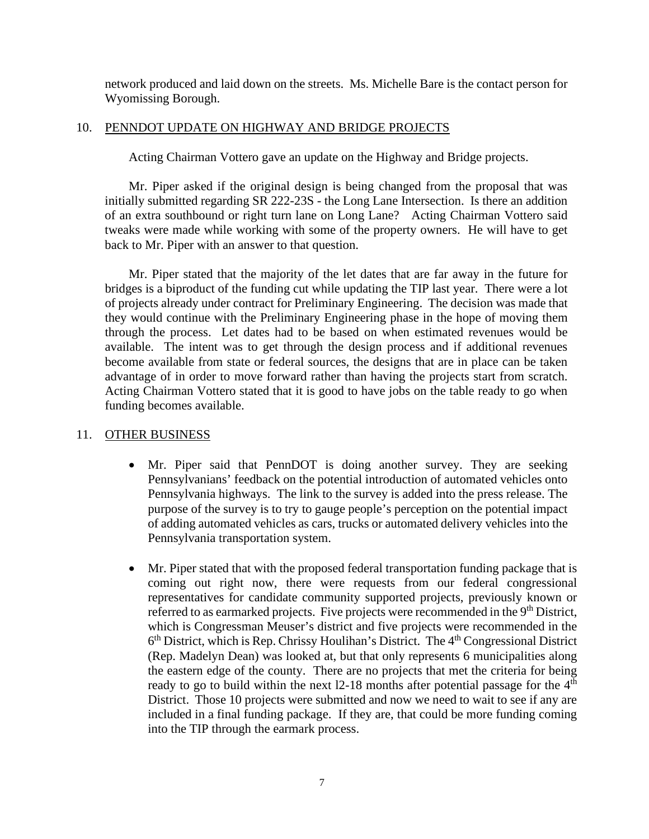network produced and laid down on the streets. Ms. Michelle Bare is the contact person for Wyomissing Borough.

# 10. PENNDOT UPDATE ON HIGHWAY AND BRIDGE PROJECTS

Acting Chairman Vottero gave an update on the Highway and Bridge projects.

Mr. Piper asked if the original design is being changed from the proposal that was initially submitted regarding SR 222-23S - the Long Lane Intersection. Is there an addition of an extra southbound or right turn lane on Long Lane? Acting Chairman Vottero said tweaks were made while working with some of the property owners. He will have to get back to Mr. Piper with an answer to that question.

Mr. Piper stated that the majority of the let dates that are far away in the future for bridges is a biproduct of the funding cut while updating the TIP last year. There were a lot of projects already under contract for Preliminary Engineering. The decision was made that they would continue with the Preliminary Engineering phase in the hope of moving them through the process. Let dates had to be based on when estimated revenues would be available. The intent was to get through the design process and if additional revenues become available from state or federal sources, the designs that are in place can be taken advantage of in order to move forward rather than having the projects start from scratch. Acting Chairman Vottero stated that it is good to have jobs on the table ready to go when funding becomes available.

# 11. OTHER BUSINESS

- Mr. Piper said that PennDOT is doing another survey. They are seeking Pennsylvanians' feedback on the potential introduction of automated vehicles onto Pennsylvania highways. The link to the survey is added into the press release. The purpose of the survey is to try to gauge people's perception on the potential impact of adding automated vehicles as cars, trucks or automated delivery vehicles into the Pennsylvania transportation system.
- Mr. Piper stated that with the proposed federal transportation funding package that is coming out right now, there were requests from our federal congressional representatives for candidate community supported projects, previously known or referred to as earmarked projects. Five projects were recommended in the 9<sup>th</sup> District, which is Congressman Meuser's district and five projects were recommended in the  $6<sup>th</sup>$  District, which is Rep. Chrissy Houlihan's District. The  $4<sup>th</sup>$  Congressional District (Rep. Madelyn Dean) was looked at, but that only represents 6 municipalities along the eastern edge of the county. There are no projects that met the criteria for being ready to go to build within the next  $12-18$  months after potential passage for the  $4<sup>th</sup>$ District. Those 10 projects were submitted and now we need to wait to see if any are included in a final funding package. If they are, that could be more funding coming into the TIP through the earmark process.